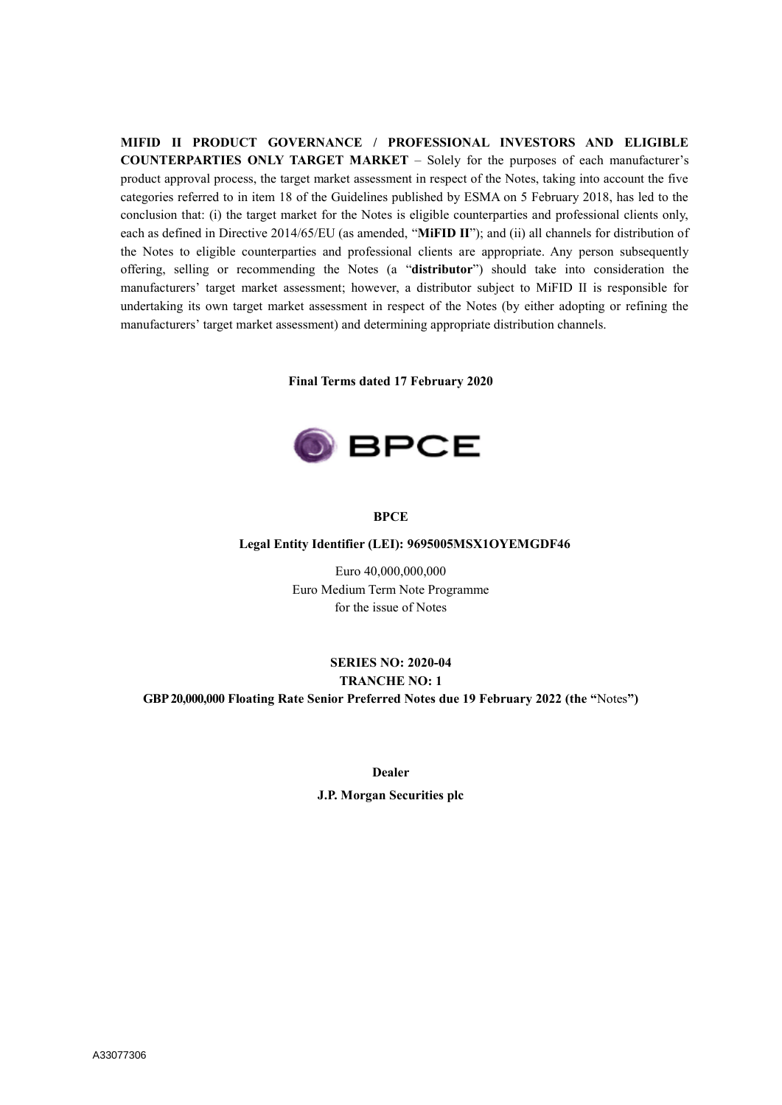**MIFID II PRODUCT GOVERNANCE / PROFESSIONAL INVESTORS AND ELIGIBLE COUNTERPARTIES ONLY TARGET MARKET** – Solely for the purposes of each manufacturer's product approval process, the target market assessment in respect of the Notes, taking into account the five categories referred to in item 18 of the Guidelines published by ESMA on 5 February 2018, has led to the conclusion that: (i) the target market for the Notes is eligible counterparties and professional clients only, each as defined in Directive 2014/65/EU (as amended, "**MiFID II**"); and (ii) all channels for distribution of the Notes to eligible counterparties and professional clients are appropriate. Any person subsequently offering, selling or recommending the Notes (a "**distributor**") should take into consideration the manufacturers' target market assessment; however, a distributor subject to MiFID II is responsible for undertaking its own target market assessment in respect of the Notes (by either adopting or refining the manufacturers' target market assessment) and determining appropriate distribution channels.

**Final Terms dated 17 February 2020**



#### **BPCE**

#### **Legal Entity Identifier (LEI): 9695005MSX1OYEMGDF46**

Euro 40,000,000,000 Euro Medium Term Note Programme for the issue of Notes

# **SERIES NO: 2020-04 TRANCHE NO: 1 GBP 20,000,000 Floating Rate Senior Preferred Notes due 19 February 2022 (the "**Notes**")**

**Dealer**

**J.P. Morgan Securities plc**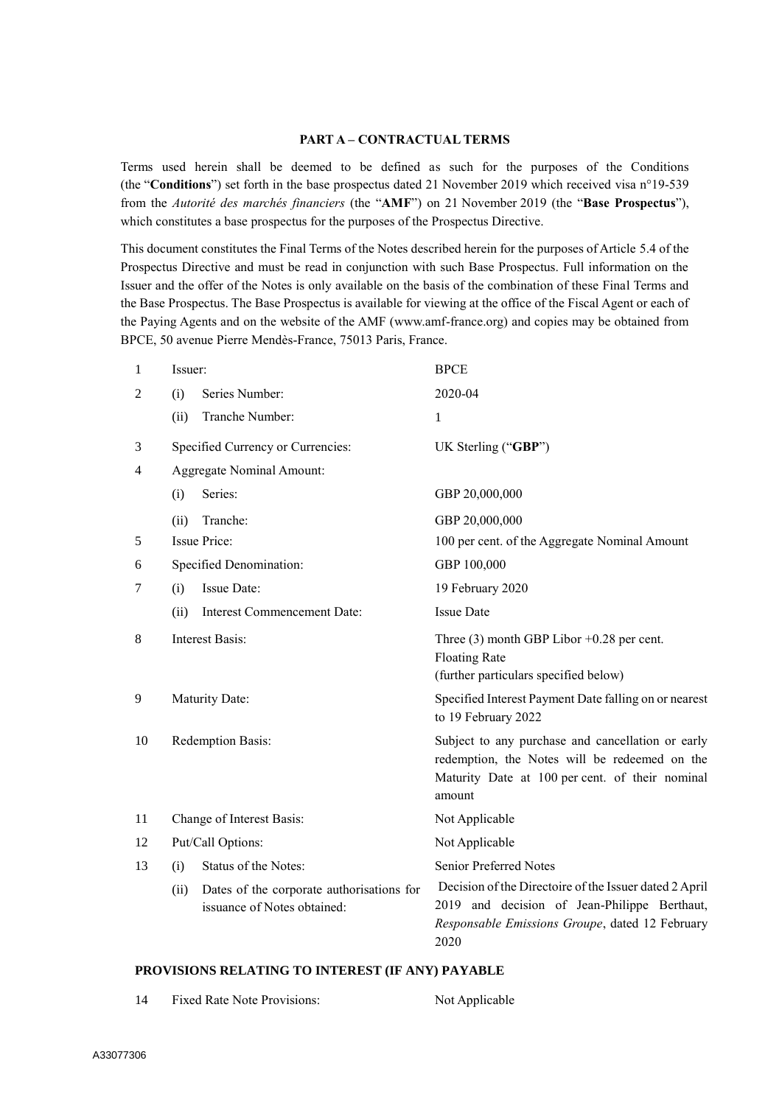### **PART A – CONTRACTUAL TERMS**

Terms used herein shall be deemed to be defined as such for the purposes of the Conditions (the "**Conditions**") set forth in the base prospectus dated 21 November 2019 which received visa n°19-539 from the *Autorité des marchés financiers* (the "**AMF**") on 21 November 2019 (the "**Base Prospectus**"), which constitutes a base prospectus for the purposes of the Prospectus Directive.

This document constitutes the Final Terms of the Notes described herein for the purposes of Article 5.4 of the Prospectus Directive and must be read in conjunction with such Base Prospectus. Full information on the Issuer and the offer of the Notes is only available on the basis of the combination of these Final Terms and the Base Prospectus. The Base Prospectus is available for viewing at the office of the Fiscal Agent or each of the Paying Agents and on the website of the AMF (www.amf-france.org) and copies may be obtained from BPCE, 50 avenue Pierre Mendès-France, 75013 Paris, France.

| 1              | Issuer: |                                                                          | <b>BPCE</b>                                                                                                                                                       |  |  |
|----------------|---------|--------------------------------------------------------------------------|-------------------------------------------------------------------------------------------------------------------------------------------------------------------|--|--|
| $\overline{2}$ | (i)     | Series Number:                                                           | 2020-04                                                                                                                                                           |  |  |
|                | (ii)    | Tranche Number:                                                          | 1                                                                                                                                                                 |  |  |
| 3              |         | Specified Currency or Currencies:                                        | UK Sterling ("GBP")                                                                                                                                               |  |  |
| 4              |         | Aggregate Nominal Amount:                                                |                                                                                                                                                                   |  |  |
|                | (i)     | Series:                                                                  | GBP 20,000,000                                                                                                                                                    |  |  |
|                | (ii)    | Tranche:                                                                 | GBP 20,000,000                                                                                                                                                    |  |  |
| 5              |         | <b>Issue Price:</b>                                                      | 100 per cent. of the Aggregate Nominal Amount                                                                                                                     |  |  |
| 6              |         | Specified Denomination:                                                  | GBP 100,000                                                                                                                                                       |  |  |
| 7              | (i)     | Issue Date:                                                              | 19 February 2020                                                                                                                                                  |  |  |
|                | (ii)    | <b>Interest Commencement Date:</b>                                       | <b>Issue Date</b>                                                                                                                                                 |  |  |
| 8              |         | <b>Interest Basis:</b>                                                   | Three $(3)$ month GBP Libor +0.28 per cent.<br><b>Floating Rate</b><br>(further particulars specified below)                                                      |  |  |
| 9              |         | Maturity Date:                                                           | Specified Interest Payment Date falling on or nearest<br>to 19 February 2022                                                                                      |  |  |
| 10             |         | Redemption Basis:                                                        | Subject to any purchase and cancellation or early<br>redemption, the Notes will be redeemed on the<br>Maturity Date at 100 per cent. of their nominal<br>amount   |  |  |
| 11             |         | Change of Interest Basis:                                                | Not Applicable                                                                                                                                                    |  |  |
| 12             |         | Put/Call Options:                                                        | Not Applicable                                                                                                                                                    |  |  |
| 13             | (i)     | Status of the Notes:                                                     | Senior Preferred Notes                                                                                                                                            |  |  |
|                | (ii)    | Dates of the corporate authorisations for<br>issuance of Notes obtained: | Decision of the Directoire of the Issuer dated 2 April<br>2019 and decision of Jean-Philippe Berthaut,<br>Responsable Emissions Groupe, dated 12 February<br>2020 |  |  |

#### **PROVISIONS RELATING TO INTEREST (IF ANY) PAYABLE**

14 Fixed Rate Note Provisions: Not Applicable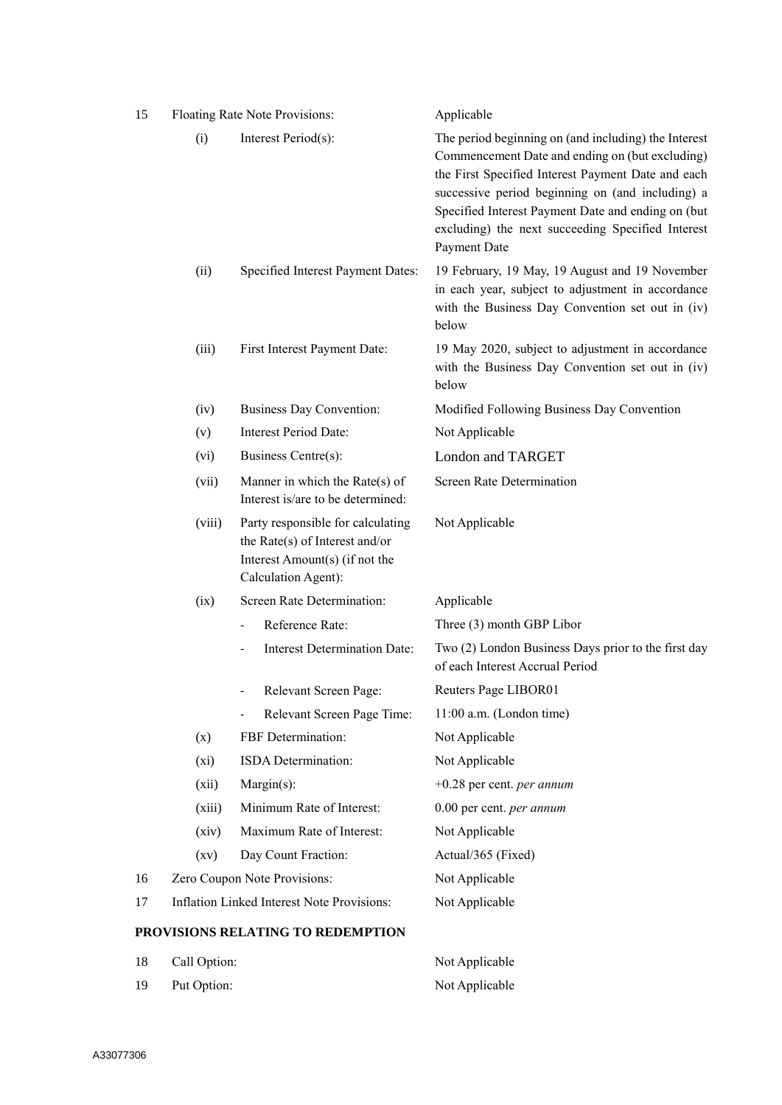| 15 |              | Floating Rate Note Provisions:                                                                                               | Applicable                                                                                                                                                                                                                                                                                                                                   |  |  |  |
|----|--------------|------------------------------------------------------------------------------------------------------------------------------|----------------------------------------------------------------------------------------------------------------------------------------------------------------------------------------------------------------------------------------------------------------------------------------------------------------------------------------------|--|--|--|
|    | (i)          | Interest Period(s):                                                                                                          | The period beginning on (and including) the Interest<br>Commencement Date and ending on (but excluding)<br>the First Specified Interest Payment Date and each<br>successive period beginning on (and including) a<br>Specified Interest Payment Date and ending on (but<br>excluding) the next succeeding Specified Interest<br>Payment Date |  |  |  |
|    | (ii)         | Specified Interest Payment Dates:                                                                                            | 19 February, 19 May, 19 August and 19 November<br>in each year, subject to adjustment in accordance<br>with the Business Day Convention set out in (iv)<br>below                                                                                                                                                                             |  |  |  |
|    | (iii)        | First Interest Payment Date:                                                                                                 | 19 May 2020, subject to adjustment in accordance<br>with the Business Day Convention set out in (iv)<br>below                                                                                                                                                                                                                                |  |  |  |
|    | (iv)         | <b>Business Day Convention:</b>                                                                                              | Modified Following Business Day Convention                                                                                                                                                                                                                                                                                                   |  |  |  |
|    | (v)          | <b>Interest Period Date:</b>                                                                                                 | Not Applicable                                                                                                                                                                                                                                                                                                                               |  |  |  |
|    | (vi)         | Business Centre(s):                                                                                                          | <b>London and TARGET</b>                                                                                                                                                                                                                                                                                                                     |  |  |  |
|    | (vii)        | Manner in which the Rate(s) of<br>Interest is/are to be determined:                                                          | <b>Screen Rate Determination</b>                                                                                                                                                                                                                                                                                                             |  |  |  |
|    | (viii)       | Party responsible for calculating<br>the Rate(s) of Interest and/or<br>Interest Amount(s) (if not the<br>Calculation Agent): | Not Applicable                                                                                                                                                                                                                                                                                                                               |  |  |  |
|    | (ix)         | Screen Rate Determination:                                                                                                   | Applicable                                                                                                                                                                                                                                                                                                                                   |  |  |  |
|    |              | Reference Rate:                                                                                                              | Three (3) month GBP Libor                                                                                                                                                                                                                                                                                                                    |  |  |  |
|    |              | <b>Interest Determination Date:</b>                                                                                          | Two (2) London Business Days prior to the first day<br>of each Interest Accrual Period                                                                                                                                                                                                                                                       |  |  |  |
|    |              | Relevant Screen Page:                                                                                                        | Reuters Page LIBOR01                                                                                                                                                                                                                                                                                                                         |  |  |  |
|    |              | Relevant Screen Page Time:                                                                                                   | 11:00 a.m. (London time)                                                                                                                                                                                                                                                                                                                     |  |  |  |
|    | (x)          | FBF Determination:                                                                                                           | Not Applicable                                                                                                                                                                                                                                                                                                                               |  |  |  |
|    | (xi)         | ISDA Determination:                                                                                                          | Not Applicable                                                                                                                                                                                                                                                                                                                               |  |  |  |
|    | (xii)        | Margin(s):                                                                                                                   | $+0.28$ per cent. <i>per annum</i>                                                                                                                                                                                                                                                                                                           |  |  |  |
|    | (xiii)       | Minimum Rate of Interest:                                                                                                    | 0.00 per cent. per annum                                                                                                                                                                                                                                                                                                                     |  |  |  |
|    | (xiv)        | Maximum Rate of Interest:                                                                                                    | Not Applicable                                                                                                                                                                                                                                                                                                                               |  |  |  |
|    | (xv)         | Day Count Fraction:                                                                                                          | Actual/365 (Fixed)                                                                                                                                                                                                                                                                                                                           |  |  |  |
| 16 |              | Zero Coupon Note Provisions:                                                                                                 | Not Applicable                                                                                                                                                                                                                                                                                                                               |  |  |  |
| 17 |              | Inflation Linked Interest Note Provisions:                                                                                   | Not Applicable                                                                                                                                                                                                                                                                                                                               |  |  |  |
|    |              | PROVISIONS RELATING TO REDEMPTION                                                                                            |                                                                                                                                                                                                                                                                                                                                              |  |  |  |
| 18 | Call Option: |                                                                                                                              | Not Applicable                                                                                                                                                                                                                                                                                                                               |  |  |  |

19 Put Option: Not Applicable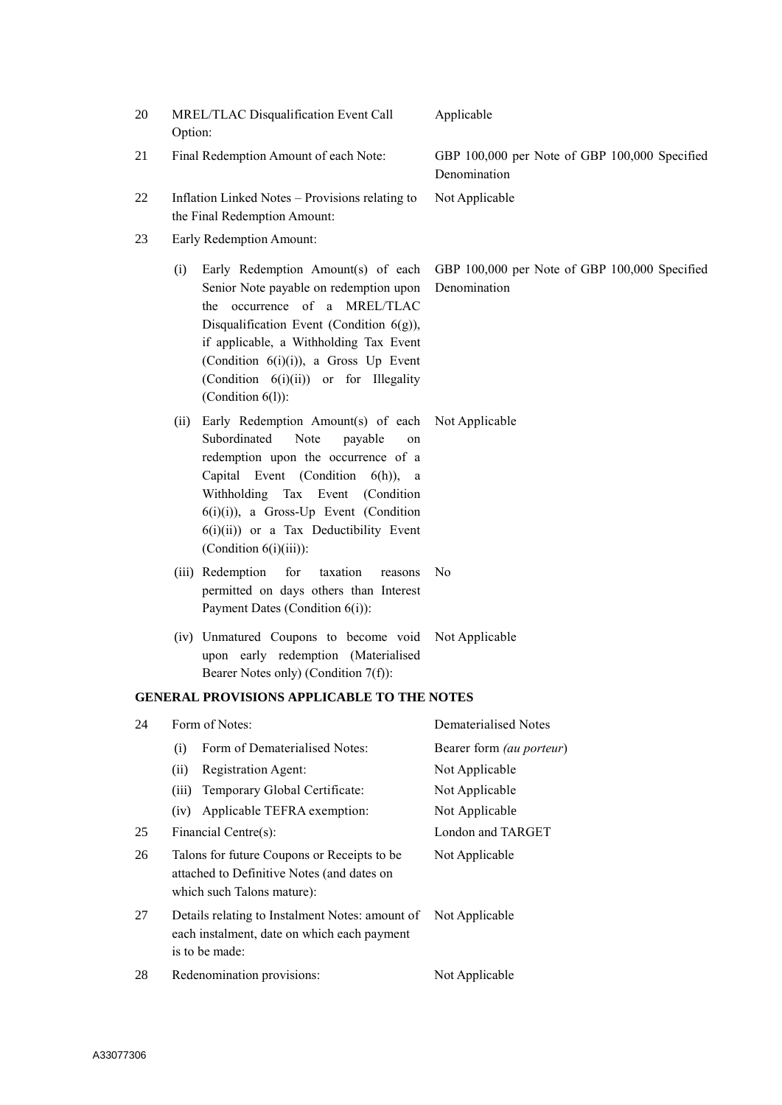| 20 | Option: | MREL/TLAC Disqualification Event Call                                                                                                                                                                                                                                                                                         | Applicable                                                    |
|----|---------|-------------------------------------------------------------------------------------------------------------------------------------------------------------------------------------------------------------------------------------------------------------------------------------------------------------------------------|---------------------------------------------------------------|
| 21 |         | Final Redemption Amount of each Note:                                                                                                                                                                                                                                                                                         | GBP 100,000 per Note of GBP 100,000 Specified<br>Denomination |
| 22 |         | Inflation Linked Notes - Provisions relating to<br>the Final Redemption Amount:                                                                                                                                                                                                                                               | Not Applicable                                                |
| 23 |         | Early Redemption Amount:                                                                                                                                                                                                                                                                                                      |                                                               |
|    | (i)     | Early Redemption Amount(s) of each<br>Senior Note payable on redemption upon<br>the occurrence of a MREL/TLAC<br>Disqualification Event (Condition 6(g)),<br>if applicable, a Withholding Tax Event<br>(Condition 6(i)(i)), a Gross Up Event<br>(Condition 6(i)(ii)) or for Illegality<br>(Condition $6(l)$ ):                | GBP 100,000 per Note of GBP 100,000 Specified<br>Denomination |
|    | (ii)    | Early Redemption Amount(s) of each Not Applicable<br>Subordinated<br>Note<br>payable<br>on<br>redemption upon the occurrence of a<br>Capital Event (Condition 6(h)), a<br>Withholding Tax Event (Condition<br>$6(i)(i)$ ), a Gross-Up Event (Condition<br>6(i)(ii)) or a Tax Deductibility Event<br>(Condition $6(i)(iii)$ ): |                                                               |
|    |         | (iii) Redemption<br>for<br>taxation<br>reasons<br>permitted on days others than Interest<br>Payment Dates (Condition 6(i)):                                                                                                                                                                                                   | No                                                            |
|    |         | (iv) Unmatured Coupons to become void Not Applicable<br>upon early redemption (Materialised<br>Bearer Notes only) (Condition 7(f)):                                                                                                                                                                                           |                                                               |
|    |         | <b>GENERAL PROVISIONS APPLICABLE TO THE NOTES</b>                                                                                                                                                                                                                                                                             |                                                               |
| 24 |         | Form of Notes:                                                                                                                                                                                                                                                                                                                | Dematerialised Notes                                          |
|    | (i)     | Form of Dematerialised Notes:                                                                                                                                                                                                                                                                                                 | Bearer form (au porteur)                                      |
|    | (ii)    | Registration Agent:                                                                                                                                                                                                                                                                                                           | Not Applicable                                                |
|    | (iii)   | Temporary Global Certificate:                                                                                                                                                                                                                                                                                                 | Not Applicable                                                |
|    | (iv)    | Applicable TEFRA exemption:                                                                                                                                                                                                                                                                                                   | Not Applicable                                                |
| 25 |         | Financial Centre(s):                                                                                                                                                                                                                                                                                                          | London and TARGET                                             |
| 26 |         | Talons for future Coupons or Receipts to be<br>attached to Definitive Notes (and dates on<br>which such Talons mature):                                                                                                                                                                                                       | Not Applicable                                                |
| 27 |         | Details relating to Instalment Notes: amount of<br>each instalment, date on which each payment<br>is to be made:                                                                                                                                                                                                              | Not Applicable                                                |
| 28 |         | Redenomination provisions:                                                                                                                                                                                                                                                                                                    | Not Applicable                                                |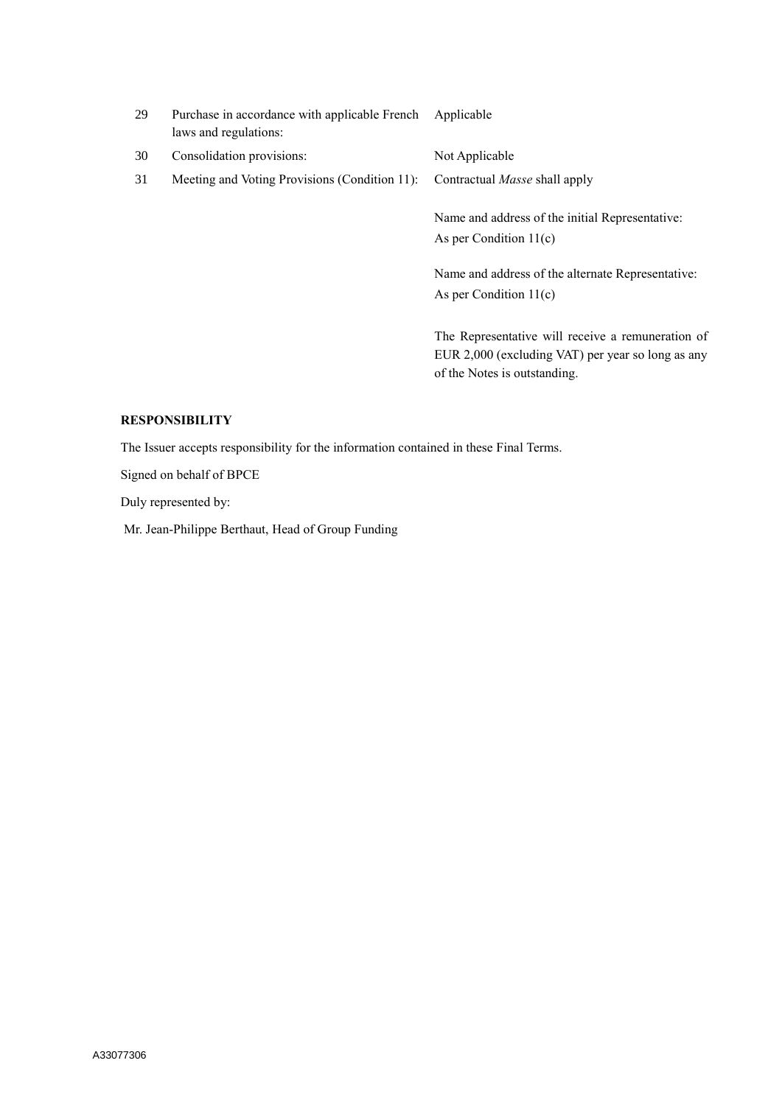| 29 | Purchase in accordance with applicable French Applicable<br>laws and regulations: |                                                                               |  |
|----|-----------------------------------------------------------------------------------|-------------------------------------------------------------------------------|--|
| 30 | Consolidation provisions:                                                         | Not Applicable                                                                |  |
| 31 | Meeting and Voting Provisions (Condition 11):                                     | Contractual <i>Masse</i> shall apply                                          |  |
|    |                                                                                   | Name and address of the initial Representative:<br>As per Condition $11(c)$   |  |
|    |                                                                                   | Name and address of the alternate Representative:<br>As per Condition $11(c)$ |  |
|    |                                                                                   | The Representative will receive a remuneration of                             |  |

The Representative will receive a remuneration of EUR 2,000 (excluding VAT) per year so long as any of the Notes is outstanding.

### **RESPONSIBILITY**

The Issuer accepts responsibility for the information contained in these Final Terms.

Signed on behalf of BPCE

Duly represented by:

Mr. Jean-Philippe Berthaut, Head of Group Funding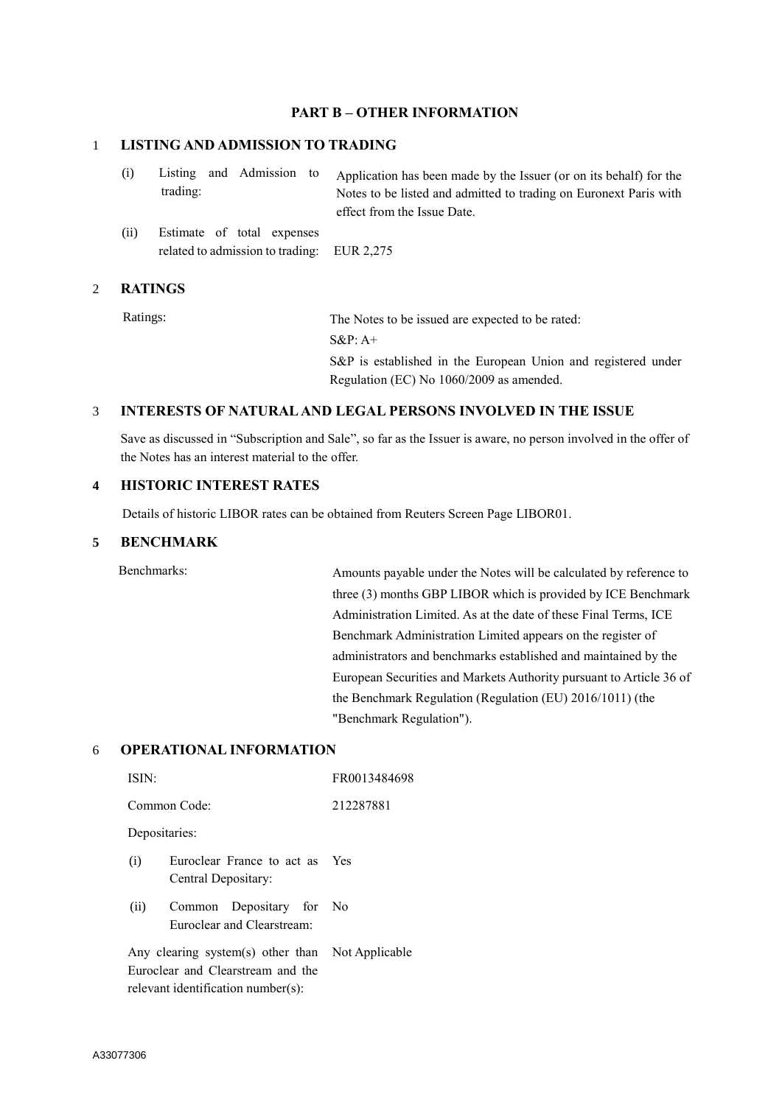#### **PART B – OTHER INFORMATION**

#### 1 **LISTING AND ADMISSION TO TRADING**

| (i)  | trading:                   |  |  | Listing and Admission to Application has been made by the Issuer (or on its behalf) for the<br>Notes to be listed and admitted to trading on Euronext Paris with<br>effect from the Issue Date. |
|------|----------------------------|--|--|-------------------------------------------------------------------------------------------------------------------------------------------------------------------------------------------------|
| (ii) | Estimate of total expenses |  |  |                                                                                                                                                                                                 |

related to admission to trading: EUR 2,275

#### 2 **RATINGS**

Ratings: The Notes to be issued are expected to be rated: S&P: A+ S&P is established in the European Union and registered under Regulation (EC) No 1060/2009 as amended.

## 3 **INTERESTS OF NATURAL AND LEGAL PERSONS INVOLVED IN THE ISSUE**

Save as discussed in "Subscription and Sale", so far as the Issuer is aware, no person involved in the offer of the Notes has an interest material to the offer.

## **4 HISTORIC INTEREST RATES**

Details of historic LIBOR rates can be obtained from Reuters Screen Page LIBOR01.

### **5 BENCHMARK**

Benchmarks: Amounts payable under the Notes will be calculated by reference to three (3) months GBP LIBOR which is provided by ICE Benchmark Administration Limited. As at the date of these Final Terms, ICE Benchmark Administration Limited appears on the register of administrators and benchmarks established and maintained by the European Securities and Markets Authority pursuant to Article 36 of the Benchmark Regulation (Regulation (EU) 2016/1011) (the "Benchmark Regulation").

#### 6 **OPERATIONAL INFORMATION**

| ISIN:                                                          | FR0013484698 |  |  |  |  |  |
|----------------------------------------------------------------|--------------|--|--|--|--|--|
| Common Code:<br>212287881                                      |              |  |  |  |  |  |
| Depositaries:                                                  |              |  |  |  |  |  |
| Euroclear France to act as Yes<br>(i)<br>Central Depositary:   |              |  |  |  |  |  |
| Common Depositary for No<br>(ii)<br>Euroclear and Clearstream: |              |  |  |  |  |  |
| Any clearing system(s) other than Not Applicable               |              |  |  |  |  |  |
| Euroclear and Clearstream and the                              |              |  |  |  |  |  |
| relevant identification number(s):                             |              |  |  |  |  |  |